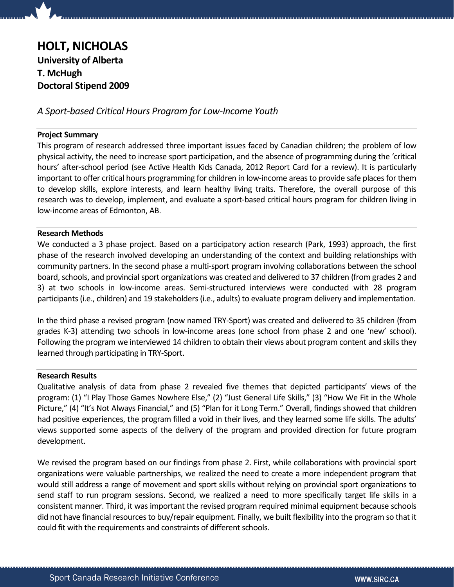# HOLT, NICHOLAS University of Alberta T. McHugh Doctoral Stipend 2009

A Sport-based Critical Hours Program for Low-Income Youth

## Project Summary

This program of research addressed three important issues faced by Canadian children; the problem of low physical activity, the need to increase sport participation, and the absence of programming during the 'critical hours' after-school period (see Active Health Kids Canada, 2012 Report Card for a review). It is particularly important to offer critical hours programming for children in low-income areas to provide safe places for them to develop skills, explore interests, and learn healthy living traits. Therefore, the overall purpose of this research was to develop, implement, and evaluate a sport-based critical hours program for children living in low-income areas of Edmonton, AB.

## Research Methods

We conducted a 3 phase project. Based on a participatory action research (Park, 1993) approach, the first phase of the research involved developing an understanding of the context and building relationships with community partners. In the second phase a multi-sport program involving collaborations between the school board, schools, and provincial sport organizations was created and delivered to 37 children (from grades 2 and 3) at two schools in low-income areas. Semi-structured interviews were conducted with 28 program participants (i.e., children) and 19 stakeholders (i.e., adults) to evaluate program delivery and implementation.

In the third phase a revised program (now named TRY-Sport) was created and delivered to 35 children (from grades K-3) attending two schools in low-income areas (one school from phase 2 and one 'new' school). Following the program we interviewed 14 children to obtain their views about program content and skills they learned through participating in TRY-Sport.

### Research Results

Qualitative analysis of data from phase 2 revealed five themes that depicted participants' views of the program: (1) "I Play Those Games Nowhere Else," (2) "Just General Life Skills," (3) "How We Fit in the Whole Picture," (4) "It's Not Always Financial," and (5) "Plan for it Long Term." Overall, findings showed that children had positive experiences, the program filled a void in their lives, and they learned some life skills. The adults' views supported some aspects of the delivery of the program and provided direction for future program development.

We revised the program based on our findings from phase 2. First, while collaborations with provincial sport organizations were valuable partnerships, we realized the need to create a more independent program that would still address a range of movement and sport skills without relying on provincial sport organizations to send staff to run program sessions. Second, we realized a need to more specifically target life skills in a consistent manner. Third, it was important the revised program required minimal equipment because schools did not have financial resources to buy/repair equipment. Finally, we built flexibility into the program so that it could fit with the requirements and constraints of different schools.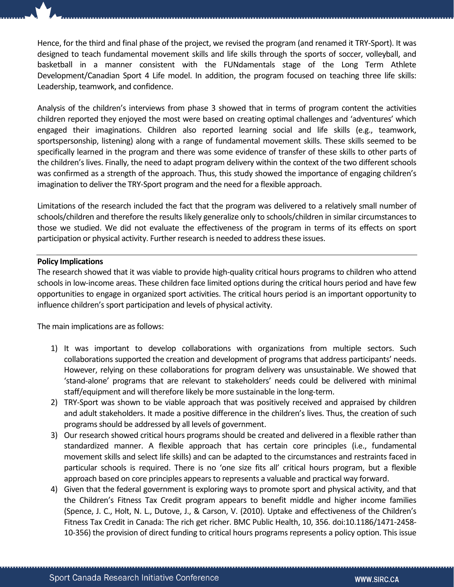Hence, for the third and final phase of the project, we revised the program (and renamed it TRY-Sport). It was designed to teach fundamental movement skills and life skills through the sports of soccer, volleyball, and basketball in a manner consistent with the FUNdamentals stage of the Long Term Athlete Development/Canadian Sport 4 Life model. In addition, the program focused on teaching three life skills: Leadership, teamwork, and confidence.

Analysis of the children's interviews from phase 3 showed that in terms of program content the activities children reported they enjoyed the most were based on creating optimal challenges and 'adventures' which engaged their imaginations. Children also reported learning social and life skills (e.g., teamwork, sportspersonship, listening) along with a range of fundamental movement skills. These skills seemed to be specifically learned in the program and there was some evidence of transfer of these skills to other parts of the children's lives. Finally, the need to adapt program delivery within the context of the two different schools was confirmed as a strength of the approach. Thus, this study showed the importance of engaging children's imagination to deliver the TRY-Sport program and the need for a flexible approach.

Limitations of the research included the fact that the program was delivered to a relatively small number of schools/children and therefore the results likely generalize only to schools/children in similar circumstances to those we studied. We did not evaluate the effectiveness of the program in terms of its effects on sport participation or physical activity. Further research is needed to address these issues.

### Policy Implications

The research showed that it was viable to provide high-quality critical hours programs to children who attend schools in low-income areas. These children face limited options during the critical hours period and have few opportunities to engage in organized sport activities. The critical hours period is an important opportunity to influence children's sport participation and levels of physical activity.

The main implications are as follows:

- 1) It was important to develop collaborations with organizations from multiple sectors. Such collaborations supported the creation and development of programs that address participants' needs. However, relying on these collaborations for program delivery was unsustainable. We showed that 'stand-alone' programs that are relevant to stakeholders' needs could be delivered with minimal staff/equipment and will therefore likely be more sustainable in the long-term.
- 2) TRY-Sport was shown to be viable approach that was positively received and appraised by children and adult stakeholders. It made a positive difference in the children's lives. Thus, the creation of such programs should be addressed by all levels of government.
- 3) Our research showed critical hours programs should be created and delivered in a flexible rather than standardized manner. A flexible approach that has certain core principles (i.e., fundamental movement skills and select life skills) and can be adapted to the circumstances and restraints faced in particular schools is required. There is no 'one size fits all' critical hours program, but a flexible approach based on core principles appears to represents a valuable and practical way forward.
- 4) Given that the federal government is exploring ways to promote sport and physical activity, and that the Children's Fitness Tax Credit program appears to benefit middle and higher income families (Spence, J. C., Holt, N. L., Dutove, J., & Carson, V. (2010). Uptake and effectiveness of the Children's Fitness Tax Credit in Canada: The rich get richer. BMC Public Health, 10, 356. doi:10.1186/1471-2458- 10-356) the provision of direct funding to critical hours programs represents a policy option. This issue